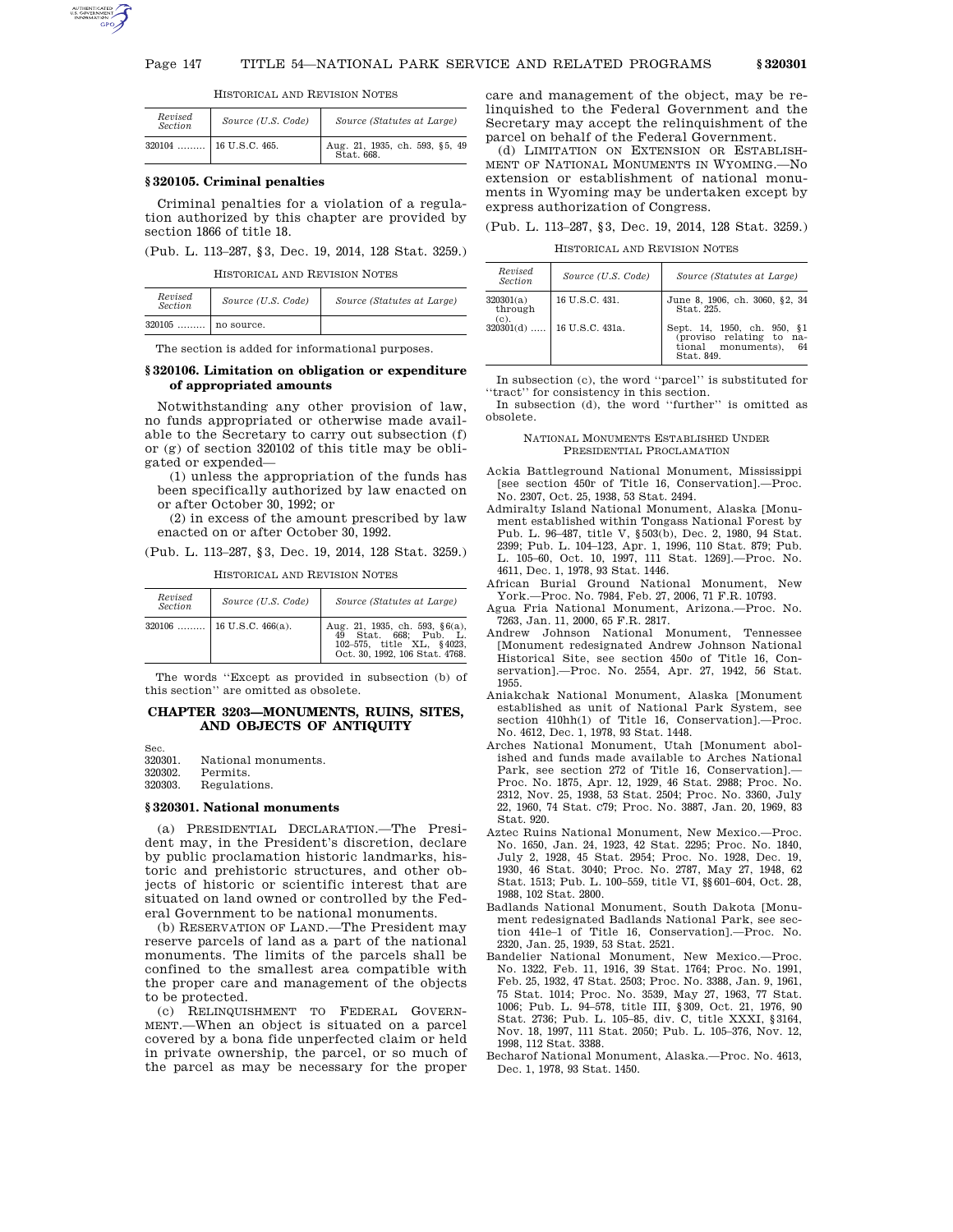

| HISTORICAL AND REVISION NOTES |  |
|-------------------------------|--|
|-------------------------------|--|

| Revised<br><b>Section</b> | Source (U.S. Code)     | Source (Statutes at Large)                   |
|---------------------------|------------------------|----------------------------------------------|
| $320104$                  | $\vert$ 16 U.S.C. 465. | Aug. 21, 1935, ch. 593, §5, 49<br>Stat. 668. |

#### **§ 320105. Criminal penalties**

Criminal penalties for a violation of a regulation authorized by this chapter are provided by section 1866 of title 18.

(Pub. L. 113–287, §3, Dec. 19, 2014, 128 Stat. 3259.)

HISTORICAL AND REVISION NOTES

| Revised<br><b>Section</b> | Source (U.S. Code) | Source (Statutes at Large) |
|---------------------------|--------------------|----------------------------|
| $320105$   no source.     |                    |                            |

The section is added for informational purposes.

### **§ 320106. Limitation on obligation or expenditure of appropriated amounts**

Notwithstanding any other provision of law, no funds appropriated or otherwise made available to the Secretary to carry out subsection (f) or (g) of section 320102 of this title may be obligated or expended—

(1) unless the appropriation of the funds has been specifically authorized by law enacted on or after October 30, 1992; or

(2) in excess of the amount prescribed by law enacted on or after October 30, 1992.

(Pub. L. 113–287, §3, Dec. 19, 2014, 128 Stat. 3259.)

HISTORICAL AND REVISION NOTES

| Revised<br>Section | Source (U.S. Code)         | Source (Statutes at Large)                                                                                                   |
|--------------------|----------------------------|------------------------------------------------------------------------------------------------------------------------------|
|                    | $320106$ 16 U.S.C. 466(a). | Aug. 21, 1935, ch. 593, $§6(a)$ ,<br>Stat. 668: Pub. L.<br>49<br>102-575, title XL, §4023.<br>Oct. 30, 1992, 106 Stat. 4768. |

The words ''Except as provided in subsection (b) of this section'' are omitted as obsolete.

# **CHAPTER 3203—MONUMENTS, RUINS, SITES, AND OBJECTS OF ANTIQUITY**

Sec.<br>320301 320301. National monuments.<br>320302. Permits. Permits. 320303. Regulations.

#### **§ 320301. National monuments**

(a) PRESIDENTIAL DECLARATION.—The President may, in the President's discretion, declare by public proclamation historic landmarks, historic and prehistoric structures, and other objects of historic or scientific interest that are situated on land owned or controlled by the Federal Government to be national monuments.

(b) RESERVATION OF LAND.—The President may reserve parcels of land as a part of the national monuments. The limits of the parcels shall be confined to the smallest area compatible with the proper care and management of the objects to be protected.

(c) RELINQUISHMENT TO FEDERAL GOVERN-MENT.—When an object is situated on a parcel covered by a bona fide unperfected claim or held in private ownership, the parcel, or so much of the parcel as may be necessary for the proper

care and management of the object, may be relinquished to the Federal Government and the Secretary may accept the relinquishment of the parcel on behalf of the Federal Government.

(d) LIMITATION ON EXTENSION OR ESTABLISH-MENT OF NATIONAL MONUMENTS IN WYOMING.—No extension or establishment of national monuments in Wyoming may be undertaken except by express authorization of Congress.

(Pub. L. 113–287, §3, Dec. 19, 2014, 128 Stat. 3259.)

HISTORICAL AND REVISION NOTES

| Revised<br><b>Section</b>    | Source (U.S. Code) | Source (Statutes at Large)                                                                        |
|------------------------------|--------------------|---------------------------------------------------------------------------------------------------|
| 320301(a)<br>through<br>(c). | 16 U.S.C. 431.     | June 8, 1906, ch. 3060, §2, 34<br>Stat. 225.                                                      |
| $320301(d)$                  | 16 U.S.C. 431a.    | Sept. 14, 1950, ch. 950, §1<br>(proviso relating to na-<br>tional monuments),<br>64<br>Stat. 849. |

In subsection (c), the word ''parcel'' is substituted for 'tract'' for consistency in this section.

In subsection (d), the word ''further'' is omitted as obsolete.

#### NATIONAL MONUMENTS ESTABLISHED UNDER PRESIDENTIAL PROCLAMATION

- Ackia Battleground National Monument, Mississippi [see section 450r of Title 16, Conservation].—Proc. No. 2307, Oct. 25, 1938, 53 Stat. 2494.
- Admiralty Island National Monument, Alaska [Monument established within Tongass National Forest by Pub. L. 96–487, title V, §503(b), Dec. 2, 1980, 94 Stat. 2399; Pub. L. 104–123, Apr. 1, 1996, 110 Stat. 879; Pub. L. 105–60, Oct. 10, 1997, 111 Stat. 1269].—Proc. No. 4611, Dec. 1, 1978, 93 Stat. 1446.
- African Burial Ground National Monument, New York.—Proc. No. 7984, Feb. 27, 2006, 71 F.R. 10793.
- Agua Fria National Monument, Arizona.—Proc. No. 7263, Jan. 11, 2000, 65 F.R. 2817.
- Andrew Johnson National Monument, Tennessee [Monument redesignated Andrew Johnson National Historical Site, see section 450*o* of Title 16, Conservation].—Proc. No. 2554, Apr. 27, 1942, 56 Stat. 1955.
- Aniakchak National Monument, Alaska [Monument established as unit of National Park System, see section 410hh(1) of Title 16, Conservation].—Proc. No. 4612, Dec. 1, 1978, 93 Stat. 1448.
- Arches National Monument, Utah [Monument abolished and funds made available to Arches National Park, see section 272 of Title 16, Conservation].— Proc. No. 1875, Apr. 12, 1929, 46 Stat. 2988; Proc. No. 2312, Nov. 25, 1938, 53 Stat. 2504; Proc. No. 3360, July 22, 1960, 74 Stat. C79; Proc. No. 3887, Jan. 20, 1969, 83 Stat. 920.
- Aztec Ruins National Monument, New Mexico.—Proc. No. 1650, Jan. 24, 1923, 42 Stat. 2295; Proc. No. 1840, July 2, 1928, 45 Stat. 2954; Proc. No. 1928, Dec. 19, 1930, 46 Stat. 3040; Proc. No. 2787, May 27, 1948, 62 Stat. 1513; Pub. L. 100–559, title VI, §§601–604, Oct. 28, 1988, 102 Stat. 2800.
- Badlands National Monument, South Dakota [Monument redesignated Badlands National Park, see section 441e–1 of Title 16, Conservation].—Proc. No. 2320, Jan. 25, 1939, 53 Stat. 2521.
- Bandelier National Monument, New Mexico.—Proc. No. 1322, Feb. 11, 1916, 39 Stat. 1764; Proc. No. 1991, Feb. 25, 1932, 47 Stat. 2503; Proc. No. 3388, Jan. 9, 1961, 75 Stat. 1014; Proc. No. 3539, May 27, 1963, 77 Stat. 1006; Pub. L. 94–578, title III, §309, Oct. 21, 1976, 90 Stat. 2736; Pub. L. 105–85, div. C, title XXXI, §3164, Nov. 18, 1997, 111 Stat. 2050; Pub. L. 105–376, Nov. 12, 1998, 112 Stat. 3388.
- Becharof National Monument, Alaska.—Proc. No. 4613, Dec. 1, 1978, 93 Stat. 1450.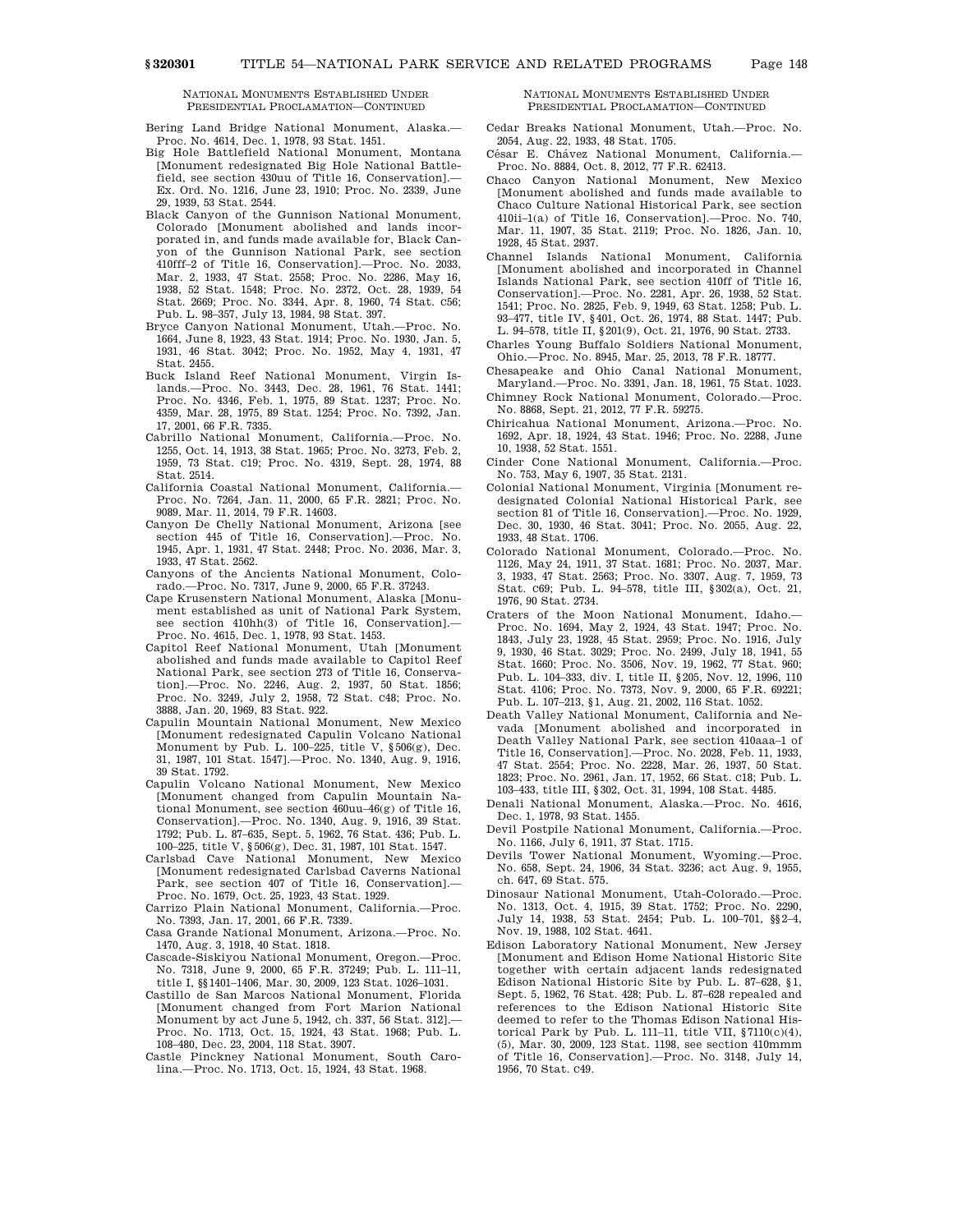Bering Land Bridge National Monument, Alaska.— Proc. No. 4614, Dec. 1, 1978, 93 Stat. 1451.

- Big Hole Battlefield National Monument, Montana [Monument redesignated Big Hole National Battlefield, see section 430uu of Title 16, Conservation].— Ex. Ord. No. 1216, June 23, 1910; Proc. No. 2339, June 29, 1939, 53 Stat. 2544.
- Black Canyon of the Gunnison National Monument, Colorado [Monument abolished and lands incorporated in, and funds made available for, Black Canyon of the Gunnison National Park, see section 410fff–2 of Title 16, Conservation].—Proc. No. 2033, Mar. 2, 1933, 47 Stat. 2558; Proc. No. 2286, May 16, 1938, 52 Stat. 1548; Proc. No. 2372, Oct. 28, 1939, 54 Stat. 2669; Proc. No. 3344, Apr. 8, 1960, 74 Stat. C56; Pub. L. 98–357, July 13, 1984, 98 Stat. 397.
- Bryce Canyon National Monument, Utah.—Proc. No. 1664, June 8, 1923, 43 Stat. 1914; Proc. No. 1930, Jan. 5, 1931, 46 Stat. 3042; Proc. No. 1952, May 4, 1931, 47 Stat. 2455.
- Buck Island Reef National Monument, Virgin Islands.—Proc. No. 3443, Dec. 28, 1961, 76 Stat. 1441; Proc. No. 4346, Feb. 1, 1975, 89 Stat. 1237; Proc. No. 4359, Mar. 28, 1975, 89 Stat. 1254; Proc. No. 7392, Jan. 17, 2001, 66 F.R. 7335.
- Cabrillo National Monument, California.—Proc. No. 1255, Oct. 14, 1913, 38 Stat. 1965; Proc. No. 3273, Feb. 2, 1959, 73 Stat. C19; Proc. No. 4319, Sept. 28, 1974, 88 Stat. 2514.
- California Coastal National Monument, California.— Proc. No. 7264, Jan. 11, 2000, 65 F.R. 2821; Proc. No. 9089, Mar. 11, 2014, 79 F.R. 14603.
- Canyon De Chelly National Monument, Arizona [see section 445 of Title 16, Conservation].—Proc. No. 1945, Apr. 1, 1931, 47 Stat. 2448; Proc. No. 2036, Mar. 3, 1933, 47 Stat. 2562.
- Canyons of the Ancients National Monument, Colorado.—Proc. No. 7317, June 9, 2000, 65 F.R. 37243.
- Cape Krusenstern National Monument, Alaska [Monument established as unit of National Park System, see section 410hh(3) of Title 16, Conservation].-Proc. No. 4615, Dec. 1, 1978, 93 Stat. 1453.
- Capitol Reef National Monument, Utah [Monument abolished and funds made available to Capitol Reef National Park, see section 273 of Title 16, Conservation].—Proc. No. 2246, Aug. 2, 1937, 50 Stat. 1856; Proc. No. 3249, July 2, 1958, 72 Stat. C48; Proc. No. 3888, Jan. 20, 1969, 83 Stat. 922.
- Capulin Mountain National Monument, New Mexico [Monument redesignated Capulin Volcano National Monument by Pub. L. 100–225, title V, §506(g), Dec. 31, 1987, 101 Stat. 1547].—Proc. No. 1340, Aug. 9, 1916, 39 Stat. 1792.
- Capulin Volcano National Monument, New Mexico [Monument changed from Capulin Mountain National Monument, see section 460uu–46(g) of Title 16, Conservation].—Proc. No. 1340, Aug. 9, 1916, 39 Stat. 1792; Pub. L. 87–635, Sept. 5, 1962, 76 Stat. 436; Pub. L.
- 100–225, title V, §506(g), Dec. 31, 1987, 101 Stat. 1547. Carlsbad Cave National Monument, New Mexico [Monument redesignated Carlsbad Caverns National Park, see section 407 of Title 16, Conservation].— Proc. No. 1679, Oct. 25, 1923, 43 Stat. 1929.
- Carrizo Plain National Monument, California.—Proc. No. 7393, Jan. 17, 2001, 66 F.R. 7339.
- Casa Grande National Monument, Arizona.—Proc. No. 1470, Aug. 3, 1918, 40 Stat. 1818.
- Cascade-Siskiyou National Monument, Oregon.—Proc. No. 7318, June 9, 2000, 65 F.R. 37249; Pub. L. 111–11, title I, §§1401–1406, Mar. 30, 2009, 123 Stat. 1026–1031.
- Castillo de San Marcos National Monument, Florida [Monument changed from Fort Marion National Monument by act June 5, 1942, ch. 337, 56 Stat. 312].— Proc. No. 1713, Oct. 15, 1924, 43 Stat. 1968; Pub. L. 108–480, Dec. 23, 2004, 118 Stat. 3907.
- Castle Pinckney National Monument, South Carolina.—Proc. No. 1713, Oct. 15, 1924, 43 Stat. 1968.

NATIONAL MONUMENTS ESTABLISHED UNDER PRESIDENTIAL PROCLAMATION—CONTINUED

- Cedar Breaks National Monument, Utah.—Proc. No. 2054, Aug. 22, 1933, 48 Stat. 1705.
- César E. Chávez National Monument, California.-Proc. No. 8884, Oct. 8, 2012, 77 F.R. 62413.
- Chaco Canyon National Monument, New Mexico [Monument abolished and funds made available to Chaco Culture National Historical Park, see section 410ii–1(a) of Title 16, Conservation].—Proc. No. 740, Mar. 11, 1907, 35 Stat. 2119; Proc. No. 1826, Jan. 10, 1928, 45 Stat. 2937.
- Channel Islands National Monument, California [Monument abolished and incorporated in Channel Islands National Park, see section 410ff of Title 16, Conservation].—Proc. No. 2281, Apr. 26, 1938, 52 Stat. 1541; Proc. No. 2825, Feb. 9, 1949, 63 Stat. 1258; Pub. L. 93–477, title IV, §401, Oct. 26, 1974, 88 Stat. 1447; Pub. L. 94–578, title II, §201(9), Oct. 21, 1976, 90 Stat. 2733.
- Charles Young Buffalo Soldiers National Monument, Ohio.—Proc. No. 8945, Mar. 25, 2013, 78 F.R. 18777.
- Chesapeake and Ohio Canal National Monument, Maryland.—Proc. No. 3391, Jan. 18, 1961, 75 Stat. 1023.
- Chimney Rock National Monument, Colorado.—Proc. No. 8868, Sept. 21, 2012, 77 F.R. 59275.
- Chiricahua National Monument, Arizona.—Proc. No. 1692, Apr. 18, 1924, 43 Stat. 1946; Proc. No. 2288, June 10, 1938, 52 Stat. 1551.
- Cinder Cone National Monument, California.—Proc. No. 753, May 6, 1907, 35 Stat. 2131.
- Colonial National Monument, Virginia [Monument redesignated Colonial National Historical Park, see section 81 of Title 16, Conservation].—Proc. No. 1929, Dec. 30, 1930, 46 Stat. 3041; Proc. No. 2055, Aug. 22, 1933, 48 Stat. 1706.
- Colorado National Monument, Colorado.—Proc. No. 1126, May 24, 1911, 37 Stat. 1681; Proc. No. 2037, Mar. 3, 1933, 47 Stat. 2563; Proc. No. 3307, Aug. 7, 1959, 73 Stat. C69; Pub. L. 94–578, title III, §302(a), Oct. 21, 1976, 90 Stat. 2734.
- Craters of the Moon National Monument, Idaho.— Proc. No. 1694, May 2, 1924, 43 Stat. 1947; Proc. No. 1843, July 23, 1928, 45 Stat. 2959; Proc. No. 1916, July 9, 1930, 46 Stat. 3029; Proc. No. 2499, July 18, 1941, 55 Stat. 1660; Proc. No. 3506, Nov. 19, 1962, 77 Stat. 960; Pub. L. 104–333, div. I, title II, §205, Nov. 12, 1996, 110 Stat. 4106; Proc. No. 7373, Nov. 9, 2000, 65 F.R. 69221; Pub. L. 107–213, §1, Aug. 21, 2002, 116 Stat. 1052.
- Death Valley National Monument, California and Nevada [Monument abolished and incorporated in Death Valley National Park, see section 410aaa–1 of Title 16, Conservation].—Proc. No. 2028, Feb. 11, 1933, 47 Stat. 2554; Proc. No. 2228, Mar. 26, 1937, 50 Stat. 1823; Proc. No. 2961, Jan. 17, 1952, 66 Stat. C18; Pub. L. 103–433, title III, §302, Oct. 31, 1994, 108 Stat. 4485.
- Denali National Monument, Alaska.—Proc. No. 4616, Dec. 1, 1978, 93 Stat. 1455.
- Devil Postpile National Monument, California.—Proc. No. 1166, July 6, 1911, 37 Stat. 1715.
- Devils Tower National Monument, Wyoming.—Proc. No. 658, Sept. 24, 1906, 34 Stat. 3236; act Aug. 9, 1955, ch. 647, 69 Stat. 575.
- Dinosaur National Monument, Utah-Colorado.—Proc. No. 1313, Oct. 4, 1915, 39 Stat. 1752; Proc. No. 2290, July 14, 1938, 53 Stat. 2454; Pub. L. 100–701, §§2–4, Nov. 19, 1988, 102 Stat. 4641.
- Edison Laboratory National Monument, New Jersey [Monument and Edison Home National Historic Site together with certain adjacent lands redesignated Edison National Historic Site by Pub. L. 87–628, §1, Sept. 5, 1962, 76 Stat. 428; Pub. L. 87–628 repealed and references to the Edison National Historic Site deemed to refer to the Thomas Edison National Historical Park by Pub. L. 111–11, title VII,  $$7110(c)(4)$ , (5), Mar. 30, 2009, 123 Stat. 1198, see section 410mmm of Title 16, Conservation].—Proc. No. 3148, July 14, 1956, 70 Stat. C49.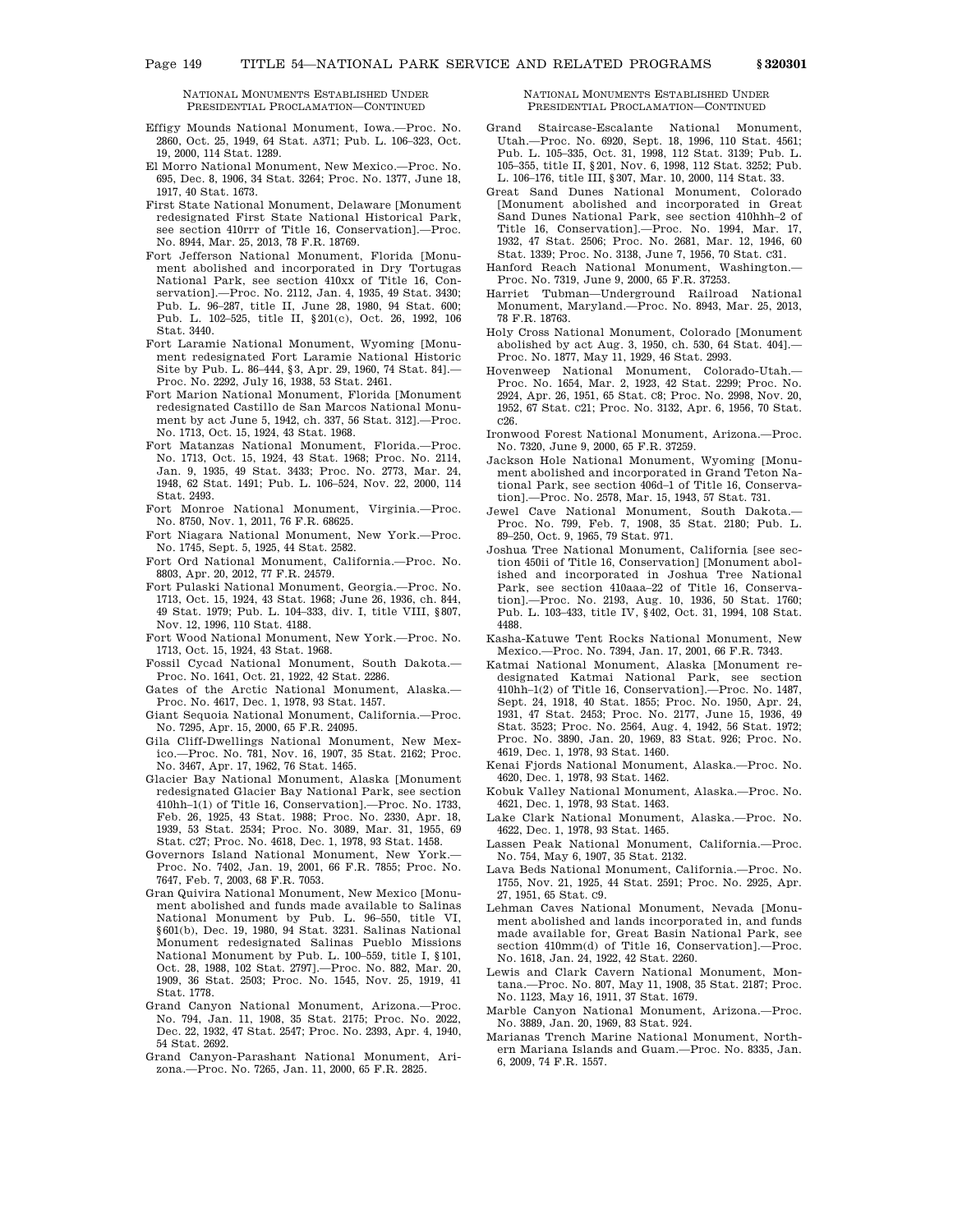- Effigy Mounds National Monument, Iowa.—Proc. No. 2860, Oct. 25, 1949, 64 Stat. A371; Pub. L. 106–323, Oct. 19, 2000, 114 Stat. 1289.
- El Morro National Monument, New Mexico.—Proc. No. 695, Dec. 8, 1906, 34 Stat. 3264; Proc. No. 1377, June 18, 1917, 40 Stat. 1673.
- First State National Monument, Delaware [Monument redesignated First State National Historical Park, see section 410rrr of Title 16, Conservation].—Proc. No. 8944, Mar. 25, 2013, 78 F.R. 18769.
- Fort Jefferson National Monument, Florida [Monument abolished and incorporated in Dry Tortugas National Park, see section 410xx of Title 16, Conservation].—Proc. No. 2112, Jan. 4, 1935, 49 Stat. 3430; Pub. L. 96–287, title II, June 28, 1980, 94 Stat. 600; Pub. L. 102–525, title II, §201(c), Oct. 26, 1992, 106 Stat. 3440.
- Fort Laramie National Monument, Wyoming [Monument redesignated Fort Laramie National Historic Site by Pub. L. 86–444, §3, Apr. 29, 1960, 74 Stat. 84].— Proc. No. 2292, July 16, 1938, 53 Stat. 2461.
- Fort Marion National Monument, Florida [Monument redesignated Castillo de San Marcos National Monument by act June 5, 1942, ch. 337, 56 Stat. 312].—Proc. No. 1713, Oct. 15, 1924, 43 Stat. 1968.
- Fort Matanzas National Monument, Florida.—Proc. No. 1713, Oct. 15, 1924, 43 Stat. 1968; Proc. No. 2114, Jan. 9, 1935, 49 Stat. 3433; Proc. No. 2773, Mar. 24, 1948, 62 Stat. 1491; Pub. L. 106–524, Nov. 22, 2000, 114 Stat. 2493.
- Fort Monroe National Monument, Virginia.—Proc. No. 8750, Nov. 1, 2011, 76 F.R. 68625.
- Fort Niagara National Monument, New York.—Proc. No. 1745, Sept. 5, 1925, 44 Stat. 2582.
- Fort Ord National Monument, California.—Proc. No. 8803, Apr. 20, 2012, 77 F.R. 24579.
- Fort Pulaski National Monument, Georgia.—Proc. No. 1713, Oct. 15, 1924, 43 Stat. 1968; June 26, 1936, ch. 844, 49 Stat. 1979; Pub. L. 104–333, div. I, title VIII, §807, Nov. 12, 1996, 110 Stat. 4188.
- Fort Wood National Monument, New York.—Proc. No. 1713, Oct. 15, 1924, 43 Stat. 1968.
- Fossil Cycad National Monument, South Dakota.— Proc. No. 1641, Oct. 21, 1922, 42 Stat. 2286.
- Gates of the Arctic National Monument, Alaska. Proc. No. 4617, Dec. 1, 1978, 93 Stat. 1457.
- Giant Sequoia National Monument, California.—Proc. No. 7295, Apr. 15, 2000, 65 F.R. 24095.
- Gila Cliff-Dwellings National Monument, New Mexico.—Proc. No. 781, Nov. 16, 1907, 35 Stat. 2162; Proc. No. 3467, Apr. 17, 1962, 76 Stat. 1465.
- Glacier Bay National Monument, Alaska [Monument redesignated Glacier Bay National Park, see section 410hh–1(1) of Title 16, Conservation].—Proc. No. 1733, Feb. 26, 1925, 43 Stat. 1988; Proc. No. 2330, Apr. 18, 1939, 53 Stat. 2534; Proc. No. 3089, Mar. 31, 1955, 69 Stat. C27; Proc. No. 4618, Dec. 1, 1978, 93 Stat. 1458.
- Governors Island National Monument, New York.— Proc. No. 7402, Jan. 19, 2001, 66 F.R. 7855; Proc. No. 7647, Feb. 7, 2003, 68 F.R. 7053.
- Gran Quivira National Monument, New Mexico [Monument abolished and funds made available to Salinas National Monument by Pub. L. 96–550, title VI, §601(b), Dec. 19, 1980, 94 Stat. 3231. Salinas National Monument redesignated Salinas Pueblo Missions National Monument by Pub. L. 100–559, title I, §101, Oct. 28, 1988, 102 Stat. 2797].—Proc. No. 882, Mar. 20, 1909, 36 Stat. 2503; Proc. No. 1545, Nov. 25, 1919, 41 Stat. 1778.
- Grand Canyon National Monument, Arizona.—Proc. No. 794, Jan. 11, 1908, 35 Stat. 2175; Proc. No. 2022, Dec. 22, 1932, 47 Stat. 2547; Proc. No. 2393, Apr. 4, 1940, 54 Stat. 2692.
- Grand Canyon-Parashant National Monument, Arizona.—Proc. No. 7265, Jan. 11, 2000, 65 F.R. 2825.

# NATIONAL MONUMENTS ESTABLISHED UNDER PRESIDENTIAL PROCLAMATION—CONTINUED

- Grand Staircase-Escalante National Monument, Utah.—Proc. No. 6920, Sept. 18, 1996, 110 Stat. 4561; Pub. L. 105–335, Oct. 31, 1998, 112 Stat. 3139; Pub. L. 105–355, title II, §201, Nov. 6, 1998, 112 Stat. 3252; Pub. L. 106–176, title III, §307, Mar. 10, 2000, 114 Stat. 33.
- Great Sand Dunes National Monument, Colorado [Monument abolished and incorporated in Great Sand Dunes National Park, see section 410hhh–2 of Title 16, Conservation].—Proc. No. 1994, Mar. 17, 1932, 47 Stat. 2506; Proc. No. 2681, Mar. 12, 1946, 60 Stat. 1339; Proc. No. 3138, June 7, 1956, 70 Stat. C31.
- Hanford Reach National Monument, Washington.— Proc. No. 7319, June 9, 2000, 65 F.R. 37253.
- Harriet Tubman—Underground Railroad National Monument, Maryland.—Proc. No. 8943, Mar. 25, 2013, 78 F.R. 18763.
- Holy Cross National Monument, Colorado [Monument abolished by act Aug. 3, 1950, ch. 530, 64 Stat. 404].— Proc. No. 1877, May 11, 1929, 46 Stat. 2993.
- Hovenweep National Monument, Colorado-Utah.— Proc. No. 1654, Mar. 2, 1923, 42 Stat. 2299; Proc. No. 2924, Apr. 26, 1951, 65 Stat. C8; Proc. No. 2998, Nov. 20, 1952, 67 Stat. C21; Proc. No. 3132, Apr. 6, 1956, 70 Stat. C26.
- Ironwood Forest National Monument, Arizona.—Proc. No. 7320, June 9, 2000, 65 F.R. 37259.
- Jackson Hole National Monument, Wyoming [Monument abolished and incorporated in Grand Teton National Park, see section 406d–1 of Title 16, Conservation].—Proc. No. 2578, Mar. 15, 1943, 57 Stat. 731.
- Jewel Cave National Monument, South Dakota.— Proc. No. 799, Feb. 7, 1908, 35 Stat. 2180; Pub. L. 89–250, Oct. 9, 1965, 79 Stat. 971.
- Joshua Tree National Monument, California [see section 450ii of Title 16, Conservation] [Monument abolished and incorporated in Joshua Tree National Park, see section 410aaa–22 of Title 16, Conservation].—Proc. No. 2193, Aug. 10, 1936, 50 Stat. 1760; Pub. L. 103–433, title IV, §402, Oct. 31, 1994, 108 Stat. 4488.
- Kasha-Katuwe Tent Rocks National Monument, New Mexico.—Proc. No. 7394, Jan. 17, 2001, 66 F.R. 7343.
- Katmai National Monument, Alaska [Monument redesignated Katmai National Park, see section 410hh–1(2) of Title 16, Conservation].—Proc. No. 1487, Sept. 24, 1918, 40 Stat. 1855; Proc. No. 1950, Apr. 24, 1931, 47 Stat. 2453; Proc. No. 2177, June 15, 1936, 49 Stat. 3523; Proc. No. 2564, Aug. 4, 1942, 56 Stat. 1972; Proc. No. 3890, Jan. 20, 1969, 83 Stat. 926; Proc. No. 4619, Dec. 1, 1978, 93 Stat. 1460.
- Kenai Fjords National Monument, Alaska.—Proc. No. 4620, Dec. 1, 1978, 93 Stat. 1462.
- Kobuk Valley National Monument, Alaska.—Proc. No. 4621, Dec. 1, 1978, 93 Stat. 1463.
- Lake Clark National Monument, Alaska.—Proc. No. 4622, Dec. 1, 1978, 93 Stat. 1465.
- Lassen Peak National Monument, California.—Proc. No. 754, May 6, 1907, 35 Stat. 2132.
- Lava Beds National Monument, California.—Proc. No. 1755, Nov. 21, 1925, 44 Stat. 2591; Proc. No. 2925, Apr. 27, 1951, 65 Stat. C9.
- Lehman Caves National Monument, Nevada [Monument abolished and lands incorporated in, and funds made available for, Great Basin National Park, see section 410mm(d) of Title 16, Conservation].—Proc. No. 1618, Jan. 24, 1922, 42 Stat. 2260.
- Lewis and Clark Cavern National Monument, Montana.—Proc. No. 807, May 11, 1908, 35 Stat. 2187; Proc. No. 1123, May 16, 1911, 37 Stat. 1679.
- Marble Canyon National Monument, Arizona.—Proc. No. 3889, Jan. 20, 1969, 83 Stat. 924.
- Marianas Trench Marine National Monument, Northern Mariana Islands and Guam.—Proc. No. 8335, Jan. 6, 2009, 74 F.R. 1557.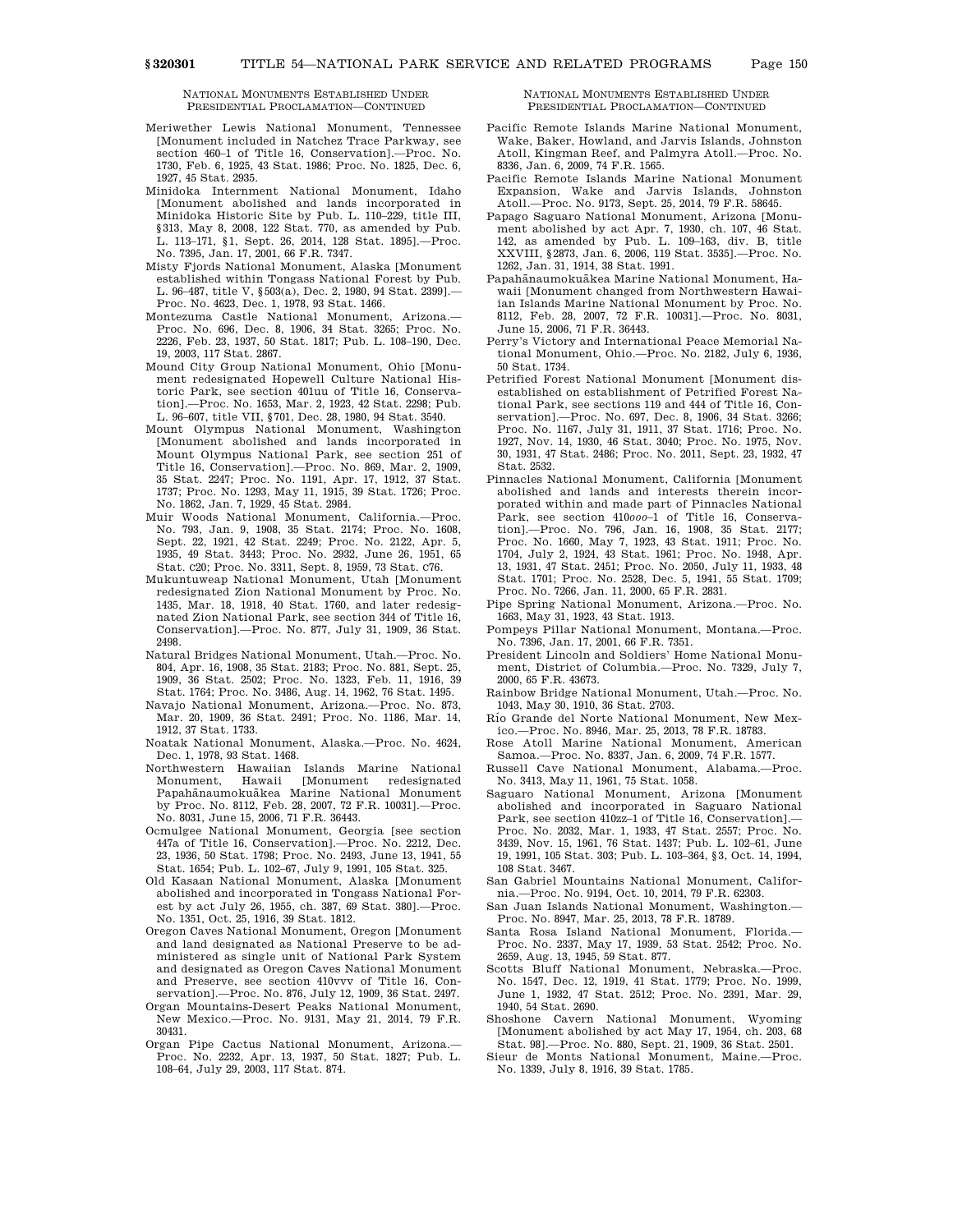- Meriwether Lewis National Monument, Tennessee [Monument included in Natchez Trace Parkway, see section 460–1 of Title 16, Conservation].—Proc. No. 1730, Feb. 6, 1925, 43 Stat. 1986; Proc. No. 1825, Dec. 6, 1927, 45 Stat. 2935.
- Minidoka Internment National Monument, Idaho [Monument abolished and lands incorporated in Minidoka Historic Site by Pub. L. 110–229, title III, §313, May 8, 2008, 122 Stat. 770, as amended by Pub. L. 113–171, §1, Sept. 26, 2014, 128 Stat. 1895].—Proc. No. 7395, Jan. 17, 2001, 66 F.R. 7347.
- Misty Fjords National Monument, Alaska [Monument established within Tongass National Forest by Pub. L. 96–487, title V, §503(a), Dec. 2, 1980, 94 Stat. 2399].— Proc. No. 4623, Dec. 1, 1978, 93 Stat. 1466.
- Montezuma Castle National Monument, Arizona.— Proc. No. 696, Dec. 8, 1906, 34 Stat. 3265; Proc. No. 2226, Feb. 23, 1937, 50 Stat. 1817; Pub. L. 108–190, Dec. 19, 2003, 117 Stat. 2867.
- Mound City Group National Monument, Ohio [Monument redesignated Hopewell Culture National Historic Park, see section 401uu of Title 16, Conservation].—Proc. No. 1653, Mar. 2, 1923, 42 Stat. 2298; Pub. L. 96–607, title VII, §701, Dec. 28, 1980, 94 Stat. 3540.
- Mount Olympus National Monument, Washington [Monument abolished and lands incorporated in Mount Olympus National Park, see section 251 of Title 16, Conservation].—Proc. No. 869, Mar. 2, 1909, 35 Stat. 2247; Proc. No. 1191, Apr. 17, 1912, 37 Stat. 1737; Proc. No. 1293, May 11, 1915, 39 Stat. 1726; Proc. No. 1862, Jan. 7, 1929, 45 Stat. 2984.
- Muir Woods National Monument, California.—Proc. No. 793, Jan. 9, 1908, 35 Stat. 2174; Proc. No. 1608, Sept. 22, 1921, 42 Stat. 2249; Proc. No. 2122, Apr. 5, 1935, 49 Stat. 3443; Proc. No. 2932, June 26, 1951, 65 Stat. C20; Proc. No. 3311, Sept. 8, 1959, 73 Stat. C76.
- Mukuntuweap National Monument, Utah [Monument redesignated Zion National Monument by Proc. No. 1435, Mar. 18, 1918, 40 Stat. 1760, and later redesignated Zion National Park, see section 344 of Title 16, Conservation].—Proc. No. 877, July 31, 1909, 36 Stat. 2498.
- Natural Bridges National Monument, Utah.—Proc. No. 804, Apr. 16, 1908, 35 Stat. 2183; Proc. No. 881, Sept. 25, 1909, 36 Stat. 2502; Proc. No. 1323, Feb. 11, 1916, 39 Stat. 1764; Proc. No. 3486, Aug. 14, 1962, 76 Stat. 1495.
- Navajo National Monument, Arizona.—Proc. No. 873, Mar. 20, 1909, 36 Stat. 2491; Proc. No. 1186, Mar. 14, 1912, 37 Stat. 1733.
- Noatak National Monument, Alaska.—Proc. No. 4624, Dec. 1, 1978, 93 Stat. 1468.
- Northwestern Hawaiian Islands Marine National Monument, Hawaii [Monument redesignated Papahānaumokuākea Marine National Monument by Proc. No. 8112, Feb. 28, 2007, 72 F.R. 10031].—Proc. No. 8031, June 15, 2006, 71 F.R. 36443.
- Ocmulgee National Monument, Georgia [see section 447a of Title 16, Conservation].—Proc. No. 2212, Dec. 23, 1936, 50 Stat. 1798; Proc. No. 2493, June 13, 1941, 55 Stat. 1654; Pub. L. 102–67, July 9, 1991, 105 Stat. 325.
- Old Kasaan National Monument, Alaska [Monument abolished and incorporated in Tongass National Forest by act July 26, 1955, ch. 387, 69 Stat. 380].—Proc. No. 1351, Oct. 25, 1916, 39 Stat. 1812.
- Oregon Caves National Monument, Oregon [Monument and land designated as National Preserve to be administered as single unit of National Park System and designated as Oregon Caves National Monument and Preserve, see section 410vvv of Title 16, Conservation].—Proc. No. 876, July 12, 1909, 36 Stat. 2497.
- Organ Mountains-Desert Peaks National Monument, New Mexico.—Proc. No. 9131, May 21, 2014, 79 F.R. 30431.
- Organ Pipe Cactus National Monument, Arizona.— Proc. No. 2232, Apr. 13, 1937, 50 Stat. 1827; Pub. L. 108–64, July 29, 2003, 117 Stat. 874.

NATIONAL MONUMENTS ESTABLISHED UNDER PRESIDENTIAL PROCLAMATION—CONTINUED

- Pacific Remote Islands Marine National Monument, Wake, Baker, Howland, and Jarvis Islands, Johnston Atoll, Kingman Reef, and Palmyra Atoll.—Proc. No. 8336, Jan. 6, 2009, 74 F.R. 1565.
- Pacific Remote Islands Marine National Monument Expansion, Wake and Jarvis Islands, Johnston Atoll.—Proc. No. 9173, Sept. 25, 2014, 79 F.R. 58645.
- Papago Saguaro National Monument, Arizona [Monument abolished by act Apr. 7, 1930, ch. 107, 46 Stat. 142, as amended by Pub. L. 109–163, div. B, title XXVIII, §2873, Jan. 6, 2006, 119 Stat. 3535].—Proc. No. 1262, Jan. 31, 1914, 38 Stat. 1991.
- Papahānaumokuākea Marine National Monument, Hawaii [Monument changed from Northwestern Hawaiian Islands Marine National Monument by Proc. No. 8112, Feb. 28, 2007, 72 F.R. 10031].—Proc. No. 8031, June 15, 2006, 71 F.R. 36443.
- Perry's Victory and International Peace Memorial National Monument, Ohio.—Proc. No. 2182, July 6, 1936, 50 Stat. 1734.
- Petrified Forest National Monument [Monument disestablished on establishment of Petrified Forest National Park, see sections 119 and 444 of Title 16, Conservation].—Proc. No. 697, Dec. 8, 1906, 34 Stat. 3266; Proc. No. 1167, July 31, 1911, 37 Stat. 1716; Proc. No. 1927, Nov. 14, 1930, 46 Stat. 3040; Proc. No. 1975, Nov. 30, 1931, 47 Stat. 2486; Proc. No. 2011, Sept. 23, 1932, 47 Stat. 2532.
- Pinnacles National Monument, California [Monument abolished and lands and interests therein incorporated within and made part of Pinnacles National Park, see section 410*ooo*–1 of Title 16, Conservation].—Proc. No. 796, Jan. 16, 1908, 35 Stat. 2177; Proc. No. 1660, May 7, 1923, 43 Stat. 1911; Proc. No. 1704, July 2, 1924, 43 Stat. 1961; Proc. No. 1948, Apr. 13, 1931, 47 Stat. 2451; Proc. No. 2050, July 11, 1933, 48 Stat. 1701; Proc. No. 2528, Dec. 5, 1941, 55 Stat. 1709; Proc. No. 7266, Jan. 11, 2000, 65 F.R. 2831.
- Pipe Spring National Monument, Arizona.—Proc. No. 1663, May 31, 1923, 43 Stat. 1913.
- Pompeys Pillar National Monument, Montana.—Proc. No. 7396, Jan. 17, 2001, 66 F.R. 7351.
- President Lincoln and Soldiers' Home National Monument, District of Columbia.—Proc. No. 7329, July 7, 2000, 65 F.R. 43673.
- Rainbow Bridge National Monument, Utah.—Proc. No. 1043, May 30, 1910, 36 Stat. 2703.
- Rı´o Grande del Norte National Monument, New Mexico.—Proc. No. 8946, Mar. 25, 2013, 78 F.R. 18783.
- Rose Atoll Marine National Monument, American Samoa.—Proc. No. 8337, Jan. 6, 2009, 74 F.R. 1577.
- Russell Cave National Monument, Alabama.—Proc. No. 3413, May 11, 1961, 75 Stat. 1058.
- Saguaro National Monument, Arizona [Monument abolished and incorporated in Saguaro National Park, see section 410zz–1 of Title 16, Conservation].— Proc. No. 2032, Mar. 1, 1933, 47 Stat. 2557; Proc. No. 3439, Nov. 15, 1961, 76 Stat. 1437; Pub. L. 102–61, June 19, 1991, 105 Stat. 303; Pub. L. 103–364, §3, Oct. 14, 1994, 108 Stat. 3467.
- San Gabriel Mountains National Monument, California.—Proc. No. 9194, Oct. 10, 2014, 79 F.R. 62303.
- San Juan Islands National Monument, Washington.— Proc. No. 8947, Mar. 25, 2013, 78 F.R. 18789.
- Santa Rosa Island National Monument, Florida.— Proc. No. 2337, May 17, 1939, 53 Stat. 2542; Proc. No. 2659, Aug. 13, 1945, 59 Stat. 877.
- Scotts Bluff National Monument, Nebraska.—Proc. No. 1547, Dec. 12, 1919, 41 Stat. 1779; Proc. No. 1999, June 1, 1932, 47 Stat. 2512; Proc. No. 2391, Mar. 29, 1940, 54 Stat. 2690.
- Shoshone Cavern National Monument, Wyoming [Monument abolished by act May 17, 1954, ch. 203, 68 Stat. 98].—Proc. No. 880, Sept. 21, 1909, 36 Stat. 2501.
- Sieur de Monts National Monument, Maine.—Proc. No. 1339, July 8, 1916, 39 Stat. 1785.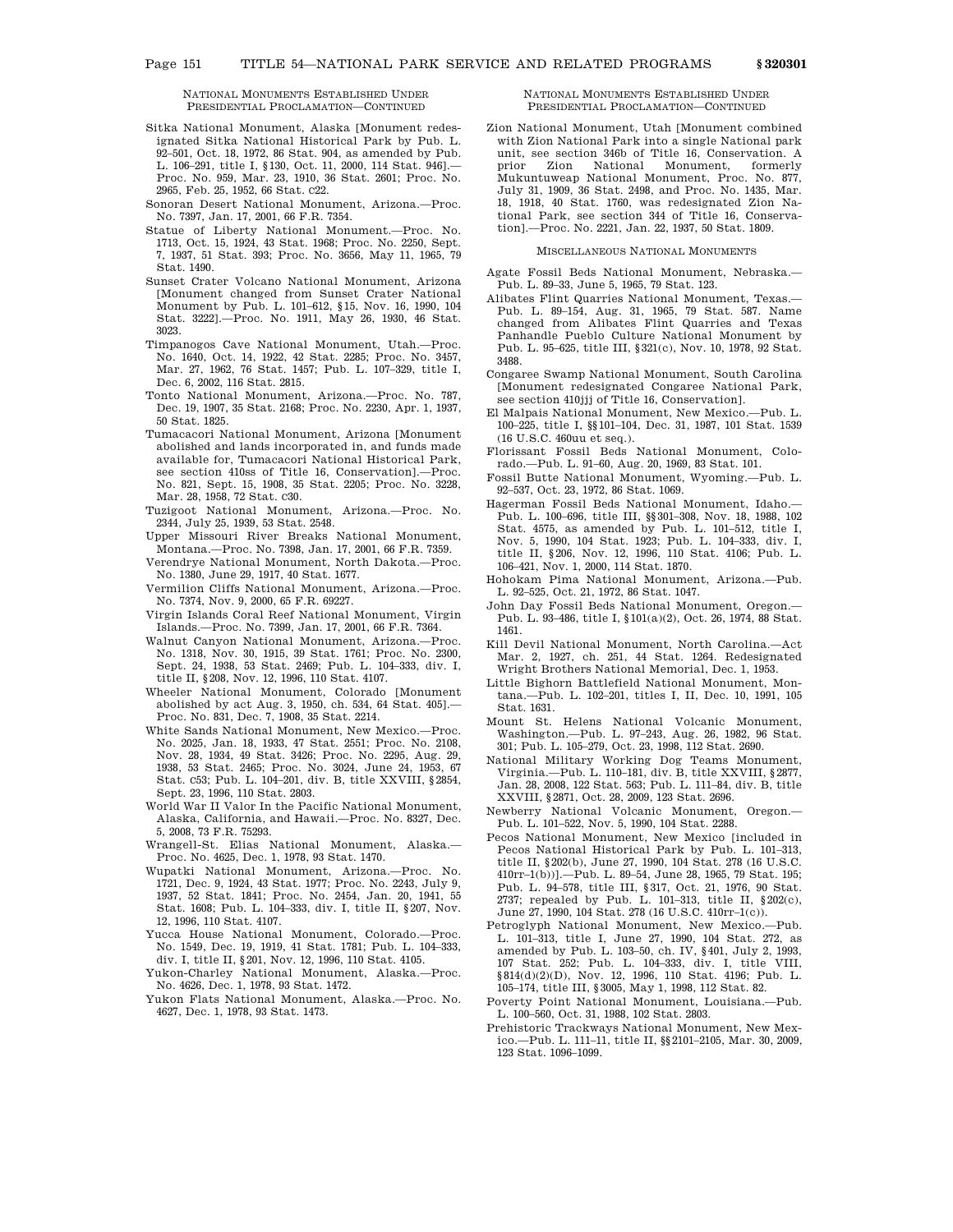- Sitka National Monument, Alaska [Monument redesignated Sitka National Historical Park by Pub. L. 92–501, Oct. 18, 1972, 86 Stat. 904, as amended by Pub. L. 106–291, title I, §130, Oct. 11, 2000, 114 Stat. 946].— Proc. No. 959, Mar. 23, 1910, 36 Stat. 2601; Proc. No. 2965, Feb. 25, 1952, 66 Stat. C22.
- Sonoran Desert National Monument, Arizona.—Proc. No. 7397, Jan. 17, 2001, 66 F.R. 7354.
- Statue of Liberty National Monument.—Proc. No. 1713, Oct. 15, 1924, 43 Stat. 1968; Proc. No. 2250, Sept. 7, 1937, 51 Stat. 393; Proc. No. 3656, May 11, 1965, 79 Stat. 1490.
- Sunset Crater Volcano National Monument, Arizona [Monument changed from Sunset Crater National Monument by Pub. L. 101–612, §15, Nov. 16, 1990, 104 Stat. 3222].—Proc. No. 1911, May 26, 1930, 46 Stat. 3023.
- Timpanogos Cave National Monument, Utah.—Proc. No. 1640, Oct. 14, 1922, 42 Stat. 2285; Proc. No. 3457, Mar. 27, 1962, 76 Stat. 1457; Pub. L. 107–329, title I, Dec. 6, 2002, 116 Stat. 2815.
- Tonto National Monument, Arizona.—Proc. No. 787, Dec. 19, 1907, 35 Stat. 2168; Proc. No. 2230, Apr. 1, 1937, 50 Stat. 1825.
- Tumacacori National Monument, Arizona [Monument abolished and lands incorporated in, and funds made available for, Tumacacori National Historical Park, see section 410ss of Title 16, Conservation].—Proc. No. 821, Sept. 15, 1908, 35 Stat. 2205; Proc. No. 3228, Mar. 28, 1958, 72 Stat. C30.
- Tuzigoot National Monument, Arizona.—Proc. No. 2344, July 25, 1939, 53 Stat. 2548.
- Upper Missouri River Breaks National Monument, Montana.—Proc. No. 7398, Jan. 17, 2001, 66 F.R. 7359.
- Verendrye National Monument, North Dakota.—Proc. No. 1380, June 29, 1917, 40 Stat. 1677.
- Vermilion Cliffs National Monument, Arizona.—Proc. No. 7374, Nov. 9, 2000, 65 F.R. 69227.
- Virgin Islands Coral Reef National Monument, Virgin Islands.—Proc. No. 7399, Jan. 17, 2001, 66 F.R. 7364.
- Walnut Canyon National Monument, Arizona.—Proc. No. 1318, Nov. 30, 1915, 39 Stat. 1761; Proc. No. 2300, Sept. 24, 1938, 53 Stat. 2469; Pub. L. 104–333, div. I, title II, §208, Nov. 12, 1996, 110 Stat. 4107.
- Wheeler National Monument, Colorado [Monument abolished by act Aug. 3, 1950, ch. 534, 64 Stat. 405].— Proc. No. 831, Dec. 7, 1908, 35 Stat. 2214.
- White Sands National Monument, New Mexico.—Proc. No. 2025, Jan. 18, 1933, 47 Stat. 2551; Proc. No. 2108, Nov. 28, 1934, 49 Stat. 3426; Proc. No. 2295, Aug. 29, 1938, 53 Stat. 2465; Proc. No. 3024, June 24, 1953, 67 Stat. C53; Pub. L. 104–201, div. B, title XXVIII, §2854, Sept. 23, 1996, 110 Stat. 2803.
- World War II Valor In the Pacific National Monument, Alaska, California, and Hawaii.—Proc. No. 8327, Dec. 5, 2008, 73 F.R. 75293.
- Wrangell-St. Elias National Monument, Alaska.— Proc. No. 4625, Dec. 1, 1978, 93 Stat. 1470.
- Wupatki National Monument, Arizona.—Proc. No. 1721, Dec. 9, 1924, 43 Stat. 1977; Proc. No. 2243, July 9, 1937, 52 Stat. 1841; Proc. No. 2454, Jan. 20, 1941, 55 Stat. 1608; Pub. L. 104–333, div. I, title II, §207, Nov. 12, 1996, 110 Stat. 4107.
- Yucca House National Monument, Colorado.—Proc. No. 1549, Dec. 19, 1919, 41 Stat. 1781; Pub. L. 104–333, div. I, title II, §201, Nov. 12, 1996, 110 Stat. 4105.
- Yukon-Charley National Monument, Alaska.—Proc. No. 4626, Dec. 1, 1978, 93 Stat. 1472.
- Yukon Flats National Monument, Alaska.—Proc. No. 4627, Dec. 1, 1978, 93 Stat. 1473.

### NATIONAL MONUMENTS ESTABLISHED UNDER PRESIDENTIAL PROCLAMATION—CONTINUED

Zion National Monument, Utah [Monument combined with Zion National Park into a single National park unit, see section 346b of Title 16, Conservation. A prior Zion National Monument, formerly Mukuntuweap National Monument, Proc. No. 877, July 31, 1909, 36 Stat. 2498, and Proc. No. 1435, Mar. 18, 1918, 40 Stat. 1760, was redesignated Zion National Park, see section 344 of Title 16, Conservation].—Proc. No. 2221, Jan. 22, 1937, 50 Stat. 1809.

### MISCELLANEOUS NATIONAL MONUMENTS

- Agate Fossil Beds National Monument, Nebraska.— Pub. L. 89–33, June 5, 1965, 79 Stat. 123.
- Alibates Flint Quarries National Monument, Texas.— Pub. L. 89–154, Aug. 31, 1965, 79 Stat. 587. Name changed from Alibates Flint Quarries and Texas Panhandle Pueblo Culture National Monument by Pub. L. 95–625, title III, §321(c), Nov. 10, 1978, 92 Stat. 3488.
- Congaree Swamp National Monument, South Carolina [Monument redesignated Congaree National Park, see section 410jjj of Title 16, Conservation].
- El Malpais National Monument, New Mexico.—Pub. L. 100–225, title I, §§101–104, Dec. 31, 1987, 101 Stat. 1539 (16 U.S.C. 460uu et seq.).
- Florissant Fossil Beds National Monument, Colorado.—Pub. L. 91–60, Aug. 20, 1969, 83 Stat. 101.
- Fossil Butte National Monument, Wyoming.—Pub. L. 92–537, Oct. 23, 1972, 86 Stat. 1069.
- Hagerman Fossil Beds National Monument, Idaho.— Pub. L. 100–696, title III, §§301–308, Nov. 18, 1988, 102 Stat. 4575, as amended by Pub. L. 101–512, title I, Nov. 5, 1990, 104 Stat. 1923; Pub. L. 104–333, div. I, title II, §206, Nov. 12, 1996, 110 Stat. 4106; Pub. L. 106–421, Nov. 1, 2000, 114 Stat. 1870.
- Hohokam Pima National Monument, Arizona.—Pub. L. 92–525, Oct. 21, 1972, 86 Stat. 1047.
- John Day Fossil Beds National Monument, Oregon.— Pub. L. 93–486, title I, §101(a)(2), Oct. 26, 1974, 88 Stat. 1461.
- Kill Devil National Monument, North Carolina.—Act Mar. 2, 1927, ch. 251, 44 Stat. 1264. Redesignated Wright Brothers National Memorial, Dec. 1, 1953.
- Little Bighorn Battlefield National Monument, Montana.—Pub. L. 102–201, titles I, II, Dec. 10, 1991, 105 Stat. 1631.
- Mount St. Helens National Volcanic Monument, Washington.—Pub. L. 97–243, Aug. 26, 1982, 96 Stat. 301; Pub. L. 105–279, Oct. 23, 1998, 112 Stat. 2690.
- National Military Working Dog Teams Monument, Virginia.—Pub. L. 110–181, div. B, title XXVIII, §2877, Jan. 28, 2008, 122 Stat. 563; Pub. L. 111–84, div. B, title XXVIII, §2871, Oct. 28, 2009, 123 Stat. 2696.
- Newberry National Volcanic Monument, Oregon.— Pub. L. 101–522, Nov. 5, 1990, 104 Stat. 2288.
- Pecos National Monument, New Mexico [included in Pecos National Historical Park by Pub. L. 101–313, title II, §202(b), June 27, 1990, 104 Stat. 278 (16 U.S.C. 410rr–1(b))].—Pub. L. 89–54, June 28, 1965, 79 Stat. 195; Pub. L. 94–578, title III, §317, Oct. 21, 1976, 90 Stat. 2737; repealed by Pub. L. 101–313, title II, §202(c), June 27, 1990, 104 Stat. 278 (16 U.S.C. 410rr–1(c)).
- Petroglyph National Monument, New Mexico.—Pub. L. 101–313, title I, June 27, 1990, 104 Stat. 272, as amended by Pub. L. 103–50, ch. IV, §401, July 2, 1993, 107 Stat. 252; Pub. L. 104–333, div. I, title VIII, §814(d)(2)(D), Nov. 12, 1996, 110 Stat. 4196; Pub. L. 105–174, title III, §3005, May 1, 1998, 112 Stat. 82.
- Poverty Point National Monument, Louisiana.—Pub. L. 100–560, Oct. 31, 1988, 102 Stat. 2803.
- Prehistoric Trackways National Monument, New Mexico.—Pub. L. 111–11, title II, §§2101–2105, Mar. 30, 2009, 123 Stat. 1096–1099.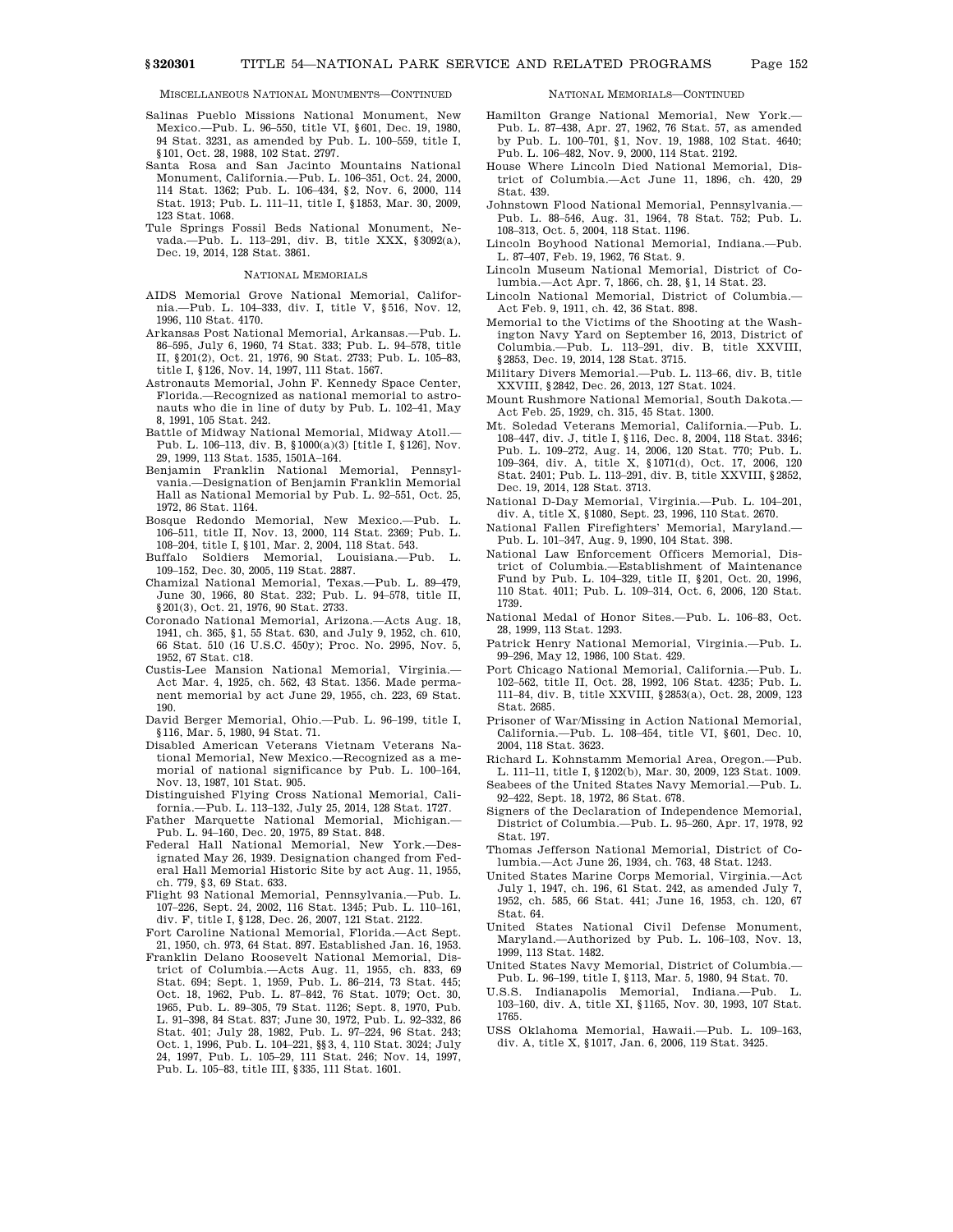MISCELLANEOUS NATIONAL MONUMENTS—CONTINUED

- Salinas Pueblo Missions National Monument, New Mexico.—Pub. L. 96–550, title VI, §601, Dec. 19, 1980, 94 Stat. 3231, as amended by Pub. L. 100–559, title I, §101, Oct. 28, 1988, 102 Stat. 2797.
- Santa Rosa and San Jacinto Mountains National Monument, California.—Pub. L. 106–351, Oct. 24, 2000, 114 Stat. 1362; Pub. L. 106–434, §2, Nov. 6, 2000, 114 Stat. 1913; Pub. L. 111–11, title I, §1853, Mar. 30, 2009, 123 Stat. 1068.
- Tule Springs Fossil Beds National Monument, Nevada.—Pub. L. 113–291, div. B, title XXX, §3092(a), Dec. 19, 2014, 128 Stat. 3861.

#### NATIONAL MEMORIALS

- AIDS Memorial Grove National Memorial, California.—Pub. L. 104–333, div. I, title V, §516, Nov. 12, 1996, 110 Stat. 4170.
- Arkansas Post National Memorial, Arkansas.—Pub. L. 86–595, July 6, 1960, 74 Stat. 333; Pub. L. 94–578, title II, §201(2), Oct. 21, 1976, 90 Stat. 2733; Pub. L. 105–83, title I, §126, Nov. 14, 1997, 111 Stat. 1567.
- Astronauts Memorial, John F. Kennedy Space Center, Florida.—Recognized as national memorial to astronauts who die in line of duty by Pub. L. 102–41, May 8, 1991, 105 Stat. 242.
- Battle of Midway National Memorial, Midway Atoll.— Pub. L. 106–113, div. B, §1000(a)(3) [title I, §126], Nov. 29, 1999, 113 Stat. 1535, 1501A–164.
- Benjamin Franklin National Memorial, Pennsylvania.—Designation of Benjamin Franklin Memorial Hall as National Memorial by Pub. L. 92–551, Oct. 25, 1972, 86 Stat. 1164.
- Bosque Redondo Memorial, New Mexico.—Pub. L. 106–511, title II, Nov. 13, 2000, 114 Stat. 2369; Pub. L. 108–204, title I, §101, Mar. 2, 2004, 118 Stat. 543.
- Soldiers Memorial, Louisiana.--Pub. 109–152, Dec. 30, 2005, 119 Stat. 2887.
- Chamizal National Memorial, Texas.—Pub. L. 89–479, June 30, 1966, 80 Stat. 232; Pub. L. 94–578, title II, §201(3), Oct. 21, 1976, 90 Stat. 2733.
- Coronado National Memorial, Arizona.—Acts Aug. 18, 1941, ch. 365, §1, 55 Stat. 630, and July 9, 1952, ch. 610, 66 Stat. 510 (16 U.S.C. 450y); Proc. No. 2995, Nov. 5, 1952, 67 Stat. C18.
- Custis-Lee Mansion National Memorial, Virginia.— Act Mar. 4, 1925, ch. 562, 43 Stat. 1356. Made permanent memorial by act June 29, 1955, ch. 223, 69 Stat. 190.
- David Berger Memorial, Ohio.—Pub. L. 96–199, title I, §116, Mar. 5, 1980, 94 Stat. 71.
- Disabled American Veterans Vietnam Veterans National Memorial, New Mexico.—Recognized as a memorial of national significance by Pub. L. 100–164, Nov. 13, 1987, 101 Stat. 905.
- Distinguished Flying Cross National Memorial, California.—Pub. L. 113–132, July 25, 2014, 128 Stat. 1727.
- Father Marquette National Memorial, Michigan.—
- Pub. L. 94–160, Dec. 20, 1975, 89 Stat. 848.
- Federal Hall National Memorial, New York.—Designated May 26, 1939. Designation changed from Federal Hall Memorial Historic Site by act Aug. 11, 1955, ch. 779, §3, 69 Stat. 633.
- Flight 93 National Memorial, Pennsylvania.—Pub. L. 107–226, Sept. 24, 2002, 116 Stat. 1345; Pub. L. 110–161, div. F, title I, §128, Dec. 26, 2007, 121 Stat. 2122.
- Fort Caroline National Memorial, Florida.—Act Sept. 21, 1950, ch. 973, 64 Stat. 897. Established Jan. 16, 1953.
- Franklin Delano Roosevelt National Memorial, District of Columbia.—Acts Aug. 11, 1955, ch. 833, 69 Stat. 694; Sept. 1, 1959, Pub. L. 86–214, 73 Stat. 445; Oct. 18, 1962, Pub. L. 87–842, 76 Stat. 1079; Oct. 30, 1965, Pub. L. 89–305, 79 Stat. 1126; Sept. 8, 1970, Pub. L. 91–398, 84 Stat. 837; June 30, 1972, Pub. L. 92–332, 86 Stat. 401; July 28, 1982, Pub. L. 97–224, 96 Stat. 243; Oct. 1, 1996, Pub. L. 104–221, §§3, 4, 110 Stat. 3024; July 24, 1997, Pub. L. 105–29, 111 Stat. 246; Nov. 14, 1997, Pub. L. 105–83, title III, §335, 111 Stat. 1601.

#### NATIONAL MEMORIALS—CONTINUED

- Hamilton Grange National Memorial, New York.— Pub. L. 87–438, Apr. 27, 1962, 76 Stat. 57, as amended by Pub. L. 100–701, §1, Nov. 19, 1988, 102 Stat. 4640; Pub. L. 106–482, Nov. 9, 2000, 114 Stat. 2192.
- House Where Lincoln Died National Memorial, District of Columbia.—Act June 11, 1896, ch. 420, 29 Stat. 439.
- Johnstown Flood National Memorial, Pennsylvania.— Pub. L. 88–546, Aug. 31, 1964, 78 Stat. 752; Pub. L. 108–313, Oct. 5, 2004, 118 Stat. 1196.
- Lincoln Boyhood National Memorial, Indiana.—Pub. L. 87–407, Feb. 19, 1962, 76 Stat. 9.
- Lincoln Museum National Memorial, District of Columbia.—Act Apr. 7, 1866, ch. 28, §1, 14 Stat. 23.
- Lincoln National Memorial, District of Columbia.— Act Feb. 9, 1911, ch. 42, 36 Stat. 898.
- Memorial to the Victims of the Shooting at the Washington Navy Yard on September 16, 2013, District of Columbia.—Pub. L. 113–291, div. B, title XXVIII, §2853, Dec. 19, 2014, 128 Stat. 3715.
- Military Divers Memorial.—Pub. L. 113–66, div. B, title XXVIII, §2842, Dec. 26, 2013, 127 Stat. 1024.
- Mount Rushmore National Memorial, South Dakota.— Act Feb. 25, 1929, ch. 315, 45 Stat. 1300.
- Mt. Soledad Veterans Memorial, California.—Pub. L. 108–447, div. J, title I, §116, Dec. 8, 2004, 118 Stat. 3346; Pub. L. 109–272, Aug. 14, 2006, 120 Stat. 770; Pub. L. 109–364, div. A, title X, §1071(d), Oct. 17, 2006, 120 Stat. 2401; Pub. L. 113–291, div. B, title XXVIII, §2852, Dec. 19, 2014, 128 Stat. 3713.
- National D-Day Memorial, Virginia.—Pub. L. 104–201, div. A, title X, §1080, Sept. 23, 1996, 110 Stat. 2670.
- National Fallen Firefighters' Memorial, Maryland.— Pub. L. 101–347, Aug. 9, 1990, 104 Stat. 398.
- National Law Enforcement Officers Memorial, District of Columbia.—Establishment of Maintenance Fund by Pub. L. 104–329, title II, §201, Oct. 20, 1996, 110 Stat. 4011; Pub. L. 109–314, Oct. 6, 2006, 120 Stat. 1739.
- National Medal of Honor Sites.—Pub. L. 106–83, Oct. 28, 1999, 113 Stat. 1293.
- Patrick Henry National Memorial, Virginia.—Pub. L. 99–296, May 12, 1986, 100 Stat. 429.
- Port Chicago National Memorial, California.—Pub. L. 102–562, title II, Oct. 28, 1992, 106 Stat. 4235; Pub. L. 111–84, div. B, title XXVIII, §2853(a), Oct. 28, 2009, 123 Stat. 2685.
- Prisoner of War/Missing in Action National Memorial, California.—Pub. L. 108–454, title VI, §601, Dec. 10, 2004, 118 Stat. 3623.
- Richard L. Kohnstamm Memorial Area, Oregon.—Pub.
- L. 111–11, title I, §1202(b), Mar. 30, 2009, 123 Stat. 1009. Seabees of the United States Navy Memorial.—Pub. L. 92–422, Sept. 18, 1972, 86 Stat. 678.
- Signers of the Declaration of Independence Memorial, District of Columbia.—Pub. L. 95–260, Apr. 17, 1978, 92 Stat. 197.
- Thomas Jefferson National Memorial, District of Columbia.—Act June 26, 1934, ch. 763, 48 Stat. 1243.
- United States Marine Corps Memorial, Virginia.—Act July 1, 1947, ch. 196, 61 Stat. 242, as amended July 7, 1952, ch. 585, 66 Stat. 441; June 16, 1953, ch. 120, 67 Stat. 64.
- United States National Civil Defense Monument, Maryland.—Authorized by Pub. L. 106–103, Nov. 13, 1999, 113 Stat. 1482.
- United States Navy Memorial, District of Columbia.— Pub. L. 96–199, title I, §113, Mar. 5, 1980, 94 Stat. 70.
- U.S.S. Indianapolis Memorial, Indiana.—Pub. L. 103–160, div. A, title XI, §1165, Nov. 30, 1993, 107 Stat. 1765.
- USS Oklahoma Memorial, Hawaii.—Pub. L. 109–163, div. A, title X, §1017, Jan. 6, 2006, 119 Stat. 3425.